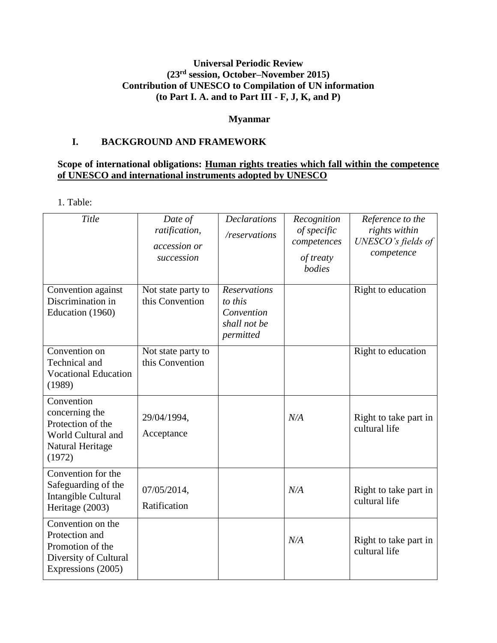# **Universal Periodic Review (23 rd session, October–November 2015) Contribution of UNESCO to Compilation of UN information (to Part I. A. and to Part III - F, J, K, and P)**

## **Myanmar**

## **I. BACKGROUND AND FRAMEWORK**

## **Scope of international obligations: Human rights treaties which fall within the competence of UNESCO and international instruments adopted by UNESCO**

1. Table:

| Title                                                                                                  | Date of<br>ratification,<br>accession or<br>succession | <b>Declarations</b><br>/reservations                                      | Recognition<br>of specific<br>competences<br>of treaty<br>bodies | Reference to the<br>rights within<br>UNESCO's fields of<br>competence |
|--------------------------------------------------------------------------------------------------------|--------------------------------------------------------|---------------------------------------------------------------------------|------------------------------------------------------------------|-----------------------------------------------------------------------|
| Convention against<br>Discrimination in<br>Education (1960)                                            | Not state party to<br>this Convention                  | <b>Reservations</b><br>to this<br>Convention<br>shall not be<br>permitted |                                                                  | Right to education                                                    |
| Convention on<br>Technical and<br><b>Vocational Education</b><br>(1989)                                | Not state party to<br>this Convention                  |                                                                           |                                                                  | Right to education                                                    |
| Convention<br>concerning the<br>Protection of the<br>World Cultural and<br>Natural Heritage<br>(1972)  | 29/04/1994,<br>Acceptance                              |                                                                           | N/A                                                              | Right to take part in<br>cultural life                                |
| Convention for the<br>Safeguarding of the<br>Intangible Cultural<br>Heritage (2003)                    | 07/05/2014,<br>Ratification                            |                                                                           | N/A                                                              | Right to take part in<br>cultural life                                |
| Convention on the<br>Protection and<br>Promotion of the<br>Diversity of Cultural<br>Expressions (2005) |                                                        |                                                                           | N/A                                                              | Right to take part in<br>cultural life                                |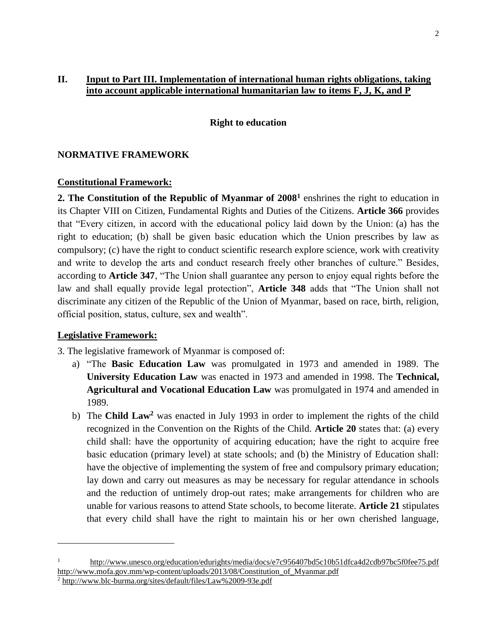## **II. Input to Part III. Implementation of international human rights obligations, taking into account applicable international humanitarian law to items F, J, K, and P**

#### **Right to education**

#### **NORMATIVE FRAMEWORK**

#### **Constitutional Framework:**

**2. The Constitution of the Republic of Myanmar of 2008<sup>1</sup>** enshrines the right to education in its Chapter VIII on Citizen, Fundamental Rights and Duties of the Citizens. **Article 366** provides that "Every citizen, in accord with the educational policy laid down by the Union: (a) has the right to education; (b) shall be given basic education which the Union prescribes by law as compulsory; (c) have the right to conduct scientific research explore science, work with creativity and write to develop the arts and conduct research freely other branches of culture." Besides, according to **Article 347**, "The Union shall guarantee any person to enjoy equal rights before the law and shall equally provide legal protection", **Article 348** adds that "The Union shall not discriminate any citizen of the Republic of the Union of Myanmar, based on race, birth, religion, official position, status, culture, sex and wealth".

#### **Legislative Framework:**

 $\overline{\phantom{a}}$ 

3. The legislative framework of Myanmar is composed of:

- a) "The **Basic Education Law** was promulgated in 1973 and amended in 1989. The **University Education Law** was enacted in 1973 and amended in 1998. The **Technical, Agricultural and Vocational Education Law** was promulgated in 1974 and amended in 1989.
- b) The **Child Law<sup>2</sup>** was enacted in July 1993 in order to implement the rights of the child recognized in the Convention on the Rights of the Child. **Article 20** states that: (a) every child shall: have the opportunity of acquiring education; have the right to acquire free basic education (primary level) at state schools; and (b) the Ministry of Education shall: have the objective of implementing the system of free and compulsory primary education; lay down and carry out measures as may be necessary for regular attendance in schools and the reduction of untimely drop-out rates; make arrangements for children who are unable for various reasons to attend State schools, to become literate. **Article 21** stipulates that every child shall have the right to maintain his or her own cherished language,

<sup>1</sup> <http://www.unesco.org/education/edurights/media/docs/e7c956407bd5c10b51dfca4d2cdb97bc5f0fee75.pdf> [http://www.mofa.gov.mm/wp-content/uploads/2013/08/Constitution\\_of\\_Myanmar.pdf](http://www.mofa.gov.mm/wp-content/uploads/2013/08/Constitution_of_Myanmar.pdf)

<sup>2</sup> <http://www.blc-burma.org/sites/default/files/Law%2009-93e.pdf>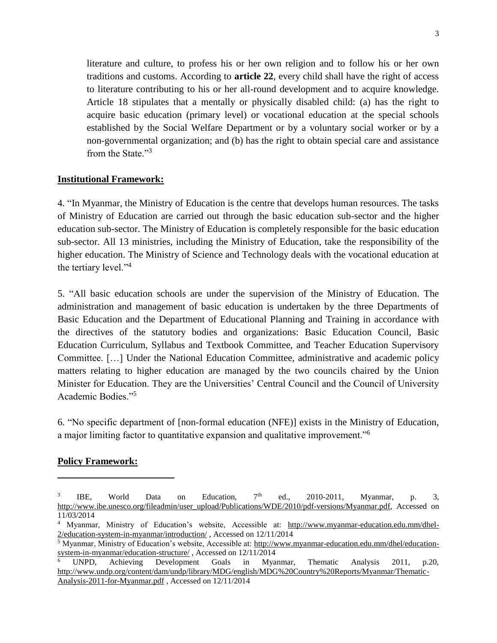literature and culture, to profess his or her own religion and to follow his or her own traditions and customs. According to **article 22**, every child shall have the right of access to literature contributing to his or her all-round development and to acquire knowledge. Article 18 stipulates that a mentally or physically disabled child: (a) has the right to acquire basic education (primary level) or vocational education at the special schools established by the Social Welfare Department or by a voluntary social worker or by a non-governmental organization; and (b) has the right to obtain special care and assistance from the State<sup>"3</sup>

## **Institutional Framework:**

4. "In Myanmar, the Ministry of Education is the centre that develops human resources. The tasks of Ministry of Education are carried out through the basic education sub-sector and the higher education sub-sector. The Ministry of Education is completely responsible for the basic education sub-sector. All 13 ministries, including the Ministry of Education, take the responsibility of the higher education. The Ministry of Science and Technology deals with the vocational education at the tertiary level."<sup>4</sup>

5. "All basic education schools are under the supervision of the Ministry of Education. The administration and management of basic education is undertaken by the three Departments of Basic Education and the Department of Educational Planning and Training in accordance with the directives of the statutory bodies and organizations: Basic Education Council, Basic Education Curriculum, Syllabus and Textbook Committee, and Teacher Education Supervisory Committee. […] Under the National Education Committee, administrative and academic policy matters relating to higher education are managed by the two councils chaired by the Union Minister for Education. They are the Universities' Central Council and the Council of University Academic Bodies."<sup>5</sup>

6. "No specific department of [non-formal education (NFE)] exists in the Ministry of Education, a major limiting factor to quantitative expansion and qualitative improvement."<sup>6</sup>

#### **Policy Framework:**

 $\overline{\phantom{a}}$ 

<sup>3</sup> IBE, World Data on Education,  $7<sup>th</sup>$  ed., 2010-2011, Myanmar, p. 3, [http://www.ibe.unesco.org/fileadmin/user\\_upload/Publications/WDE/2010/pdf-versions/Myanmar.pdf,](http://www.ibe.unesco.org/fileadmin/user_upload/Publications/WDE/2010/pdf-versions/Myanmar.pdf) Accessed on 11/03/2014

<sup>4</sup> Myanmar, Ministry of Education's website, Accessible at: [http://www.myanmar-education.edu.mm/dhel-](http://www.myanmar-education.edu.mm/dhel-2/education-system-in-myanmar/introduction/)[2/education-system-in-myanmar/introduction/](http://www.myanmar-education.edu.mm/dhel-2/education-system-in-myanmar/introduction/) , Accessed on 12/11/2014

<sup>5</sup> Myanmar, Ministry of Education's website, Accessible at: [http://www.myanmar-education.edu.mm/dhel/education](http://www.myanmar-education.edu.mm/dhel/education-system-in-myanmar/education-structure/)[system-in-myanmar/education-structure/](http://www.myanmar-education.edu.mm/dhel/education-system-in-myanmar/education-structure/) , Accessed on 12/11/2014

<sup>6</sup> UNPD, Achieving Development Goals in Myanmar, Thematic Analysis 2011, p.20, [http://www.undp.org/content/dam/undp/library/MDG/english/MDG%20Country%20Reports/Myanmar/Thematic-](http://www.undp.org/content/dam/undp/library/MDG/english/MDG%20Country%20Reports/Myanmar/Thematic-Analysis-2011-for-Myanmar.pdf)[Analysis-2011-for-Myanmar.pdf](http://www.undp.org/content/dam/undp/library/MDG/english/MDG%20Country%20Reports/Myanmar/Thematic-Analysis-2011-for-Myanmar.pdf) , Accessed on 12/11/2014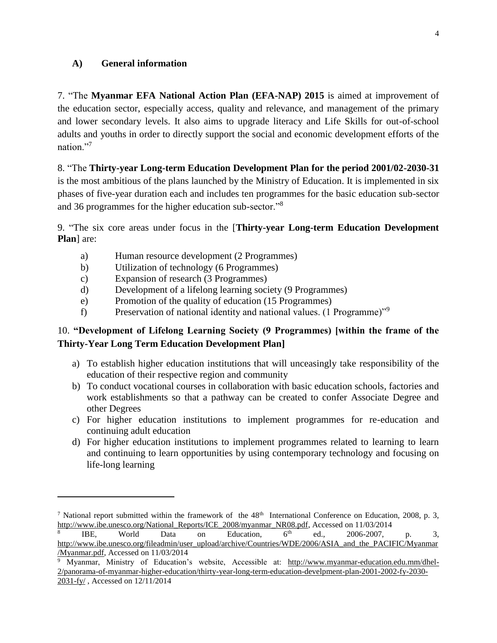### **A) General information**

7. "The **Myanmar EFA National Action Plan (EFA-NAP) 2015** is aimed at improvement of the education sector, especially access, quality and relevance, and management of the primary and lower secondary levels. It also aims to upgrade literacy and Life Skills for out-of-school adults and youths in order to directly support the social and economic development efforts of the nation."7

8. "The **Thirty-year Long-term Education Development Plan for the period 2001/02-2030-31** is the most ambitious of the plans launched by the Ministry of Education. It is implemented in six

phases of five-year duration each and includes ten programmes for the basic education sub-sector and 36 programmes for the higher education sub-sector."<sup>8</sup>

9. "The six core areas under focus in the [**Thirty-year Long-term Education Development Plan**] are:

- a) Human resource development (2 Programmes)
- b) Utilization of technology (6 Programmes)
- c) Expansion of research (3 Programmes)

l

- d) Development of a lifelong learning society (9 Programmes)
- e) Promotion of the quality of education (15 Programmes)
- f) Preservation of national identity and national values. (1 Programme)"<sup>9</sup>

# 10. **"Development of Lifelong Learning Society (9 Programmes) [within the frame of the Thirty-Year Long Term Education Development Plan]**

- a) To establish higher education institutions that will unceasingly take responsibility of the education of their respective region and community
- b) To conduct vocational courses in collaboration with basic education schools, factories and work establishments so that a pathway can be created to confer Associate Degree and other Degrees
- c) For higher education institutions to implement programmes for re-education and continuing adult education
- d) For higher education institutions to implement programmes related to learning to learn and continuing to learn opportunities by using contemporary technology and focusing on life-long learning

<sup>&</sup>lt;sup>7</sup> National report submitted within the framework of the  $48<sup>th</sup>$  International Conference on Education, 2008, p. 3, [http://www.ibe.unesco.org/National\\_Reports/ICE\\_2008/myanmar\\_NR08.pdf,](http://www.ibe.unesco.org/National_Reports/ICE_2008/myanmar_NR08.pdf) Accessed on 11/03/2014

<sup>8</sup> IBE, World Data on Education,  $6<sup>th</sup>$  ed., 2006-2007, p. 3, [http://www.ibe.unesco.org/fileadmin/user\\_upload/archive/Countries/WDE/2006/ASIA\\_and\\_the\\_PACIFIC/Myanmar](http://www.ibe.unesco.org/fileadmin/user_upload/archive/Countries/WDE/2006/ASIA_and_the_PACIFIC/Myanmar/Myanmar.pdf) [/Myanmar.pdf,](http://www.ibe.unesco.org/fileadmin/user_upload/archive/Countries/WDE/2006/ASIA_and_the_PACIFIC/Myanmar/Myanmar.pdf) Accessed on 11/03/2014

<sup>&</sup>lt;sup>9</sup> Myanmar, Ministry of Education's website, Accessible at: [http://www.myanmar-education.edu.mm/dhel-](http://www.myanmar-education.edu.mm/dhel-2/panorama-of-myanmar-higher-education/thirty-year-long-term-education-develpment-plan-2001-2002-fy-2030-2031-fy/)[2/panorama-of-myanmar-higher-education/thirty-year-long-term-education-develpment-plan-2001-2002-fy-2030-](http://www.myanmar-education.edu.mm/dhel-2/panorama-of-myanmar-higher-education/thirty-year-long-term-education-develpment-plan-2001-2002-fy-2030-2031-fy/) [2031-fy/](http://www.myanmar-education.edu.mm/dhel-2/panorama-of-myanmar-higher-education/thirty-year-long-term-education-develpment-plan-2001-2002-fy-2030-2031-fy/) , Accessed on 12/11/2014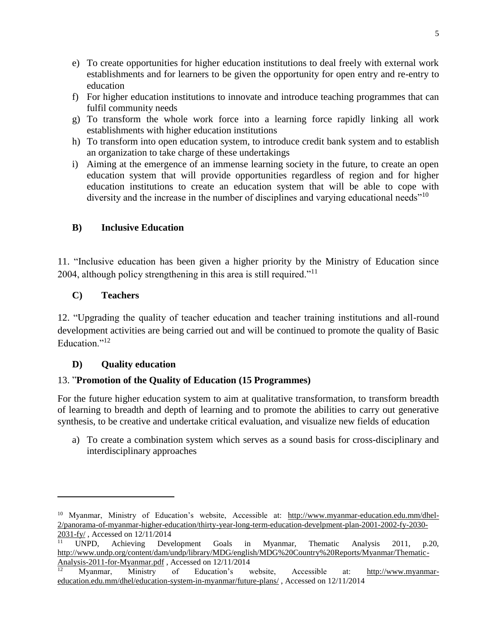- e) To create opportunities for higher education institutions to deal freely with external work establishments and for learners to be given the opportunity for open entry and re-entry to education
- f) For higher education institutions to innovate and introduce teaching programmes that can fulfil community needs
- g) To transform the whole work force into a learning force rapidly linking all work establishments with higher education institutions
- h) To transform into open education system, to introduce credit bank system and to establish an organization to take charge of these undertakings
- i) Aiming at the emergence of an immense learning society in the future, to create an open education system that will provide opportunities regardless of region and for higher education institutions to create an education system that will be able to cope with diversity and the increase in the number of disciplines and varying educational needs"<sup>10</sup>

# **B) Inclusive Education**

11. "Inclusive education has been given a higher priority by the Ministry of Education since 2004, although policy strengthening in this area is still required."<sup>11</sup>

# **C) Teachers**

l

12. "Upgrading the quality of teacher education and teacher training institutions and all-round development activities are being carried out and will be continued to promote the quality of Basic Education<sup>"12</sup>

# **D) Quality education**

# 13. "**Promotion of the Quality of Education (15 Programmes)**

For the future higher education system to aim at qualitative transformation, to transform breadth of learning to breadth and depth of learning and to promote the abilities to carry out generative synthesis, to be creative and undertake critical evaluation, and visualize new fields of education

a) To create a combination system which serves as a sound basis for cross-disciplinary and interdisciplinary approaches

<sup>&</sup>lt;sup>10</sup> Myanmar, Ministry of Education's website, Accessible at: [http://www.myanmar-education.edu.mm/dhel-](http://www.myanmar-education.edu.mm/dhel-2/panorama-of-myanmar-higher-education/thirty-year-long-term-education-develpment-plan-2001-2002-fy-2030-2031-fy/)[2/panorama-of-myanmar-higher-education/thirty-year-long-term-education-develpment-plan-2001-2002-fy-2030-](http://www.myanmar-education.edu.mm/dhel-2/panorama-of-myanmar-higher-education/thirty-year-long-term-education-develpment-plan-2001-2002-fy-2030-2031-fy/) [2031-fy/](http://www.myanmar-education.edu.mm/dhel-2/panorama-of-myanmar-higher-education/thirty-year-long-term-education-develpment-plan-2001-2002-fy-2030-2031-fy/) , Accessed on 12/11/2014

<sup>11</sup> UNPD, Achieving Development Goals in Myanmar, Thematic Analysis 2011, p.20, [http://www.undp.org/content/dam/undp/library/MDG/english/MDG%20Country%20Reports/Myanmar/Thematic-](http://www.undp.org/content/dam/undp/library/MDG/english/MDG%20Country%20Reports/Myanmar/Thematic-Analysis-2011-for-Myanmar.pdf)[Analysis-2011-for-Myanmar.pdf](http://www.undp.org/content/dam/undp/library/MDG/english/MDG%20Country%20Reports/Myanmar/Thematic-Analysis-2011-for-Myanmar.pdf) , Accessed on 12/11/2014

<sup>12</sup> Myanmar, Ministry of Education's website, Accessible at: [http://www.myanmar](http://www.myanmar-education.edu.mm/dhel/education-system-in-myanmar/future-plans/)[education.edu.mm/dhel/education-system-in-myanmar/future-plans/](http://www.myanmar-education.edu.mm/dhel/education-system-in-myanmar/future-plans/) , Accessed on 12/11/2014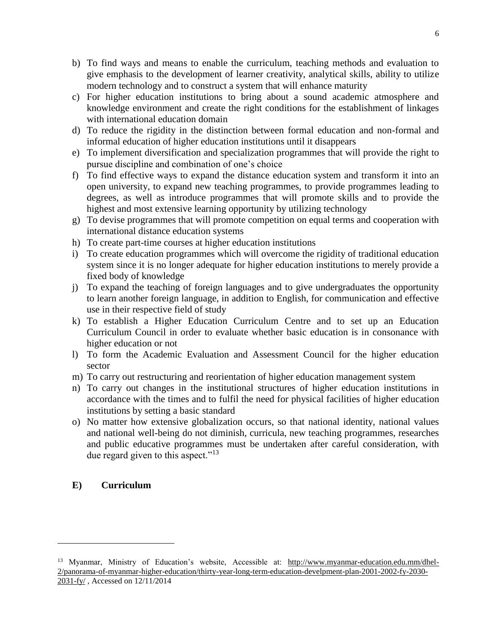- b) To find ways and means to enable the curriculum, teaching methods and evaluation to give emphasis to the development of learner creativity, analytical skills, ability to utilize modern technology and to construct a system that will enhance maturity
- c) For higher education institutions to bring about a sound academic atmosphere and knowledge environment and create the right conditions for the establishment of linkages with international education domain
- d) To reduce the rigidity in the distinction between formal education and non-formal and informal education of higher education institutions until it disappears
- e) To implement diversification and specialization programmes that will provide the right to pursue discipline and combination of one's choice
- f) To find effective ways to expand the distance education system and transform it into an open university, to expand new teaching programmes, to provide programmes leading to degrees, as well as introduce programmes that will promote skills and to provide the highest and most extensive learning opportunity by utilizing technology
- g) To devise programmes that will promote competition on equal terms and cooperation with international distance education systems
- h) To create part-time courses at higher education institutions
- i) To create education programmes which will overcome the rigidity of traditional education system since it is no longer adequate for higher education institutions to merely provide a fixed body of knowledge
- j) To expand the teaching of foreign languages and to give undergraduates the opportunity to learn another foreign language, in addition to English, for communication and effective use in their respective field of study
- k) To establish a Higher Education Curriculum Centre and to set up an Education Curriculum Council in order to evaluate whether basic education is in consonance with higher education or not
- l) To form the Academic Evaluation and Assessment Council for the higher education sector
- m) To carry out restructuring and reorientation of higher education management system
- n) To carry out changes in the institutional structures of higher education institutions in accordance with the times and to fulfil the need for physical facilities of higher education institutions by setting a basic standard
- o) No matter how extensive globalization occurs, so that national identity, national values and national well-being do not diminish, curricula, new teaching programmes, researches and public educative programmes must be undertaken after careful consideration, with due regard given to this aspect."<sup>13</sup>

# **E) Curriculum**

 $\overline{\phantom{a}}$ 

<sup>&</sup>lt;sup>13</sup> Myanmar, Ministry of Education's website, Accessible at: [http://www.myanmar-education.edu.mm/dhel-](http://www.myanmar-education.edu.mm/dhel-2/panorama-of-myanmar-higher-education/thirty-year-long-term-education-develpment-plan-2001-2002-fy-2030-2031-fy/)[2/panorama-of-myanmar-higher-education/thirty-year-long-term-education-develpment-plan-2001-2002-fy-2030-](http://www.myanmar-education.edu.mm/dhel-2/panorama-of-myanmar-higher-education/thirty-year-long-term-education-develpment-plan-2001-2002-fy-2030-2031-fy/) [2031-fy/](http://www.myanmar-education.edu.mm/dhel-2/panorama-of-myanmar-higher-education/thirty-year-long-term-education-develpment-plan-2001-2002-fy-2030-2031-fy/) , Accessed on 12/11/2014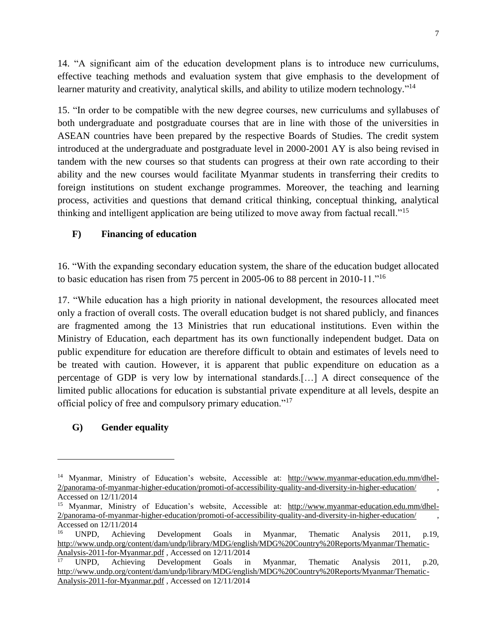14. "A significant aim of the education development plans is to introduce new curriculums, effective teaching methods and evaluation system that give emphasis to the development of learner maturity and creativity, analytical skills, and ability to utilize modern technology."<sup>14</sup>

15. "In order to be compatible with the new degree courses, new curriculums and syllabuses of both undergraduate and postgraduate courses that are in line with those of the universities in ASEAN countries have been prepared by the respective Boards of Studies. The credit system introduced at the undergraduate and postgraduate level in 2000-2001 AY is also being revised in tandem with the new courses so that students can progress at their own rate according to their ability and the new courses would facilitate Myanmar students in transferring their credits to foreign institutions on student exchange programmes. Moreover, the teaching and learning process, activities and questions that demand critical thinking, conceptual thinking, analytical thinking and intelligent application are being utilized to move away from factual recall."<sup>15</sup>

# **F) Financing of education**

16. "With the expanding secondary education system, the share of the education budget allocated to basic education has risen from 75 percent in 2005-06 to 88 percent in 2010-11."<sup>16</sup>

17. "While education has a high priority in national development, the resources allocated meet only a fraction of overall costs. The overall education budget is not shared publicly, and finances are fragmented among the 13 Ministries that run educational institutions. Even within the Ministry of Education, each department has its own functionally independent budget. Data on public expenditure for education are therefore difficult to obtain and estimates of levels need to be treated with caution. However, it is apparent that public expenditure on education as a percentage of GDP is very low by international standards.[…] A direct consequence of the limited public allocations for education is substantial private expenditure at all levels, despite an official policy of free and compulsory primary education."<sup>17</sup>

# **G) Gender equality**

l

<sup>&</sup>lt;sup>14</sup> Myanmar, Ministry of Education's website, Accessible at: [http://www.myanmar-education.edu.mm/dhel-](http://www.myanmar-education.edu.mm/dhel-2/panorama-of-myanmar-higher-education/promoti-of-accessibility-quality-and-diversity-in-higher-education/)[2/panorama-of-myanmar-higher-education/promoti-of-accessibility-quality-and-diversity-in-higher-education/](http://www.myanmar-education.edu.mm/dhel-2/panorama-of-myanmar-higher-education/promoti-of-accessibility-quality-and-diversity-in-higher-education/) , Accessed on 12/11/2014

<sup>&</sup>lt;sup>15</sup> Myanmar, Ministry of Education's website, Accessible at: [http://www.myanmar-education.edu.mm/dhel-](http://www.myanmar-education.edu.mm/dhel-2/panorama-of-myanmar-higher-education/promoti-of-accessibility-quality-and-diversity-in-higher-education/)[2/panorama-of-myanmar-higher-education/promoti-of-accessibility-quality-and-diversity-in-higher-education/](http://www.myanmar-education.edu.mm/dhel-2/panorama-of-myanmar-higher-education/promoti-of-accessibility-quality-and-diversity-in-higher-education/) , Accessed on 12/11/2014

<sup>16</sup> UNPD, Achieving Development Goals in Myanmar, Thematic Analysis 2011, p.19, [http://www.undp.org/content/dam/undp/library/MDG/english/MDG%20Country%20Reports/Myanmar/Thematic-](http://www.undp.org/content/dam/undp/library/MDG/english/MDG%20Country%20Reports/Myanmar/Thematic-Analysis-2011-for-Myanmar.pdf)[Analysis-2011-for-Myanmar.pdf](http://www.undp.org/content/dam/undp/library/MDG/english/MDG%20Country%20Reports/Myanmar/Thematic-Analysis-2011-for-Myanmar.pdf) , Accessed on 12/11/2014

<sup>17</sup> UNPD, Achieving Development Goals in Myanmar, Thematic Analysis 2011, p.20, [http://www.undp.org/content/dam/undp/library/MDG/english/MDG%20Country%20Reports/Myanmar/Thematic-](http://www.undp.org/content/dam/undp/library/MDG/english/MDG%20Country%20Reports/Myanmar/Thematic-Analysis-2011-for-Myanmar.pdf)[Analysis-2011-for-Myanmar.pdf](http://www.undp.org/content/dam/undp/library/MDG/english/MDG%20Country%20Reports/Myanmar/Thematic-Analysis-2011-for-Myanmar.pdf) , Accessed on 12/11/2014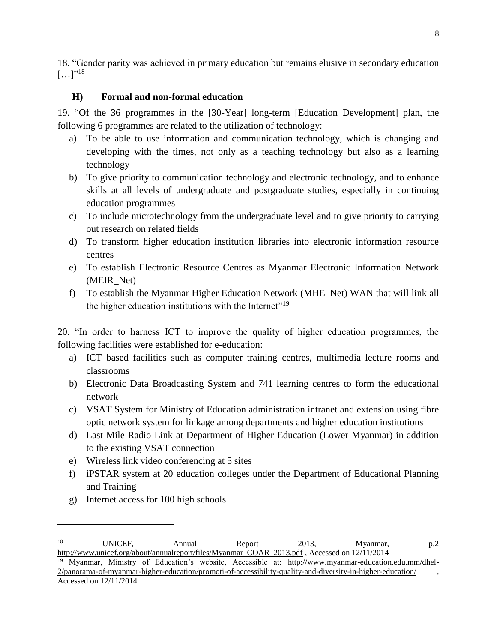18. "Gender parity was achieved in primary education but remains elusive in secondary education  $[...]^{18}$ 

# **H) Formal and non-formal education**

19. "Of the 36 programmes in the [30-Year] long-term [Education Development] plan, the following 6 programmes are related to the utilization of technology:

- a) To be able to use information and communication technology, which is changing and developing with the times, not only as a teaching technology but also as a learning technology
- b) To give priority to communication technology and electronic technology, and to enhance skills at all levels of undergraduate and postgraduate studies, especially in continuing education programmes
- c) To include microtechnology from the undergraduate level and to give priority to carrying out research on related fields
- d) To transform higher education institution libraries into electronic information resource centres
- e) To establish Electronic Resource Centres as Myanmar Electronic Information Network (MEIR\_Net)
- f) To establish the Myanmar Higher Education Network (MHE\_Net) WAN that will link all the higher education institutions with the Internet<sup>"19</sup>

20. "In order to harness ICT to improve the quality of higher education programmes, the following facilities were established for e-education:

- a) ICT based facilities such as computer training centres, multimedia lecture rooms and classrooms
- b) Electronic Data Broadcasting System and 741 learning centres to form the educational network
- c) VSAT System for Ministry of Education administration intranet and extension using fibre optic network system for linkage among departments and higher education institutions
- d) Last Mile Radio Link at Department of Higher Education (Lower Myanmar) in addition to the existing VSAT connection
- e) Wireless link video conferencing at 5 sites
- f) iPSTAR system at 20 education colleges under the Department of Educational Planning and Training
- g) Internet access for 100 high schools

 $\overline{a}$ 

<sup>&</sup>lt;sup>18</sup> UNICEF, Annual Report 2013, Myanmar, p.2 [http://www.unicef.org/about/annualreport/files/Myanmar\\_COAR\\_2013.pdf](http://www.unicef.org/about/annualreport/files/Myanmar_COAR_2013.pdf) , Accessed on 12/11/2014

<sup>&</sup>lt;sup>19</sup> Myanmar, Ministry of Education's website, Accessible at: [http://www.myanmar-education.edu.mm/dhel-](http://www.myanmar-education.edu.mm/dhel-2/panorama-of-myanmar-higher-education/promoti-of-accessibility-quality-and-diversity-in-higher-education/)[2/panorama-of-myanmar-higher-education/promoti-of-accessibility-quality-and-diversity-in-higher-education/](http://www.myanmar-education.edu.mm/dhel-2/panorama-of-myanmar-higher-education/promoti-of-accessibility-quality-and-diversity-in-higher-education/) , Accessed on 12/11/2014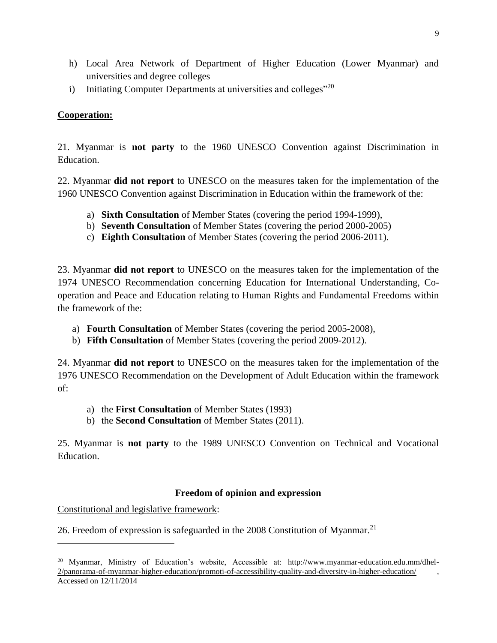- h) Local Area Network of Department of Higher Education (Lower Myanmar) and universities and degree colleges
- i) Initiating Computer Departments at universities and colleges<sup>"20</sup>

# **Cooperation:**

21. Myanmar is **not party** to the 1960 UNESCO Convention against Discrimination in Education.

22. Myanmar **did not report** to UNESCO on the measures taken for the implementation of the 1960 UNESCO Convention against Discrimination in Education within the framework of the:

- a) **Sixth Consultation** of Member States (covering the period 1994-1999),
- b) **Seventh Consultation** of Member States (covering the period 2000-2005)
- c) **Eighth Consultation** of Member States (covering the period 2006-2011).

23. Myanmar **did not report** to UNESCO on the measures taken for the implementation of the 1974 UNESCO Recommendation concerning Education for International Understanding, Cooperation and Peace and Education relating to Human Rights and Fundamental Freedoms within the framework of the:

- a) **Fourth Consultation** of Member States (covering the period 2005-2008),
- b) **Fifth Consultation** of Member States (covering the period 2009-2012).

24. Myanmar **did not report** to UNESCO on the measures taken for the implementation of the 1976 UNESCO Recommendation on the Development of Adult Education within the framework of:

- a) the **First Consultation** of Member States (1993)
- b) the **Second Consultation** of Member States (2011).

25. Myanmar is **not party** to the 1989 UNESCO Convention on Technical and Vocational Education.

## **Freedom of opinion and expression**

Constitutional and legislative framework:

 $\overline{\phantom{a}}$ 

26. Freedom of expression is safeguarded in the  $2008$  Constitution of Myanmar.<sup>21</sup>

<sup>&</sup>lt;sup>20</sup> Myanmar, Ministry of Education's website, Accessible at: [http://www.myanmar-education.edu.mm/dhel-](http://www.myanmar-education.edu.mm/dhel-2/panorama-of-myanmar-higher-education/promoti-of-accessibility-quality-and-diversity-in-higher-education/)[2/panorama-of-myanmar-higher-education/promoti-of-accessibility-quality-and-diversity-in-higher-education/](http://www.myanmar-education.edu.mm/dhel-2/panorama-of-myanmar-higher-education/promoti-of-accessibility-quality-and-diversity-in-higher-education/) , Accessed on 12/11/2014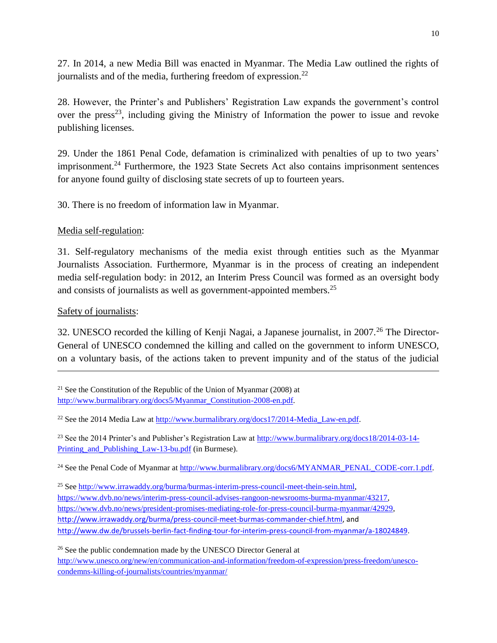27. In 2014, a new Media Bill was enacted in Myanmar. The Media Law outlined the rights of journalists and of the media, furthering freedom of expression.<sup>22</sup>

28. However, the Printer's and Publishers' Registration Law expands the government's control over the press<sup>23</sup>, including giving the Ministry of Information the power to issue and revoke publishing licenses.

29. Under the 1861 Penal Code, defamation is criminalized with penalties of up to two years' imprisonment.<sup>24</sup> Furthermore, the 1923 State Secrets Act also contains imprisonment sentences for anyone found guilty of disclosing state secrets of up to fourteen years.

30. There is no freedom of information law in Myanmar.

Media self-regulation:

31. Self-regulatory mechanisms of the media exist through entities such as the Myanmar Journalists Association. Furthermore, Myanmar is in the process of creating an independent media self-regulation body: in 2012, an Interim Press Council was formed as an oversight body and consists of journalists as well as government-appointed members.<sup>25</sup>

Safety of journalists:

 $\overline{\phantom{a}}$ 

32. UNESCO recorded the killing of Kenji Nagai, a Japanese journalist, in 2007.<sup>26</sup> The Director-General of UNESCO condemned the killing and called on the government to inform UNESCO, on a voluntary basis, of the actions taken to prevent impunity and of the status of the judicial

<sup>22</sup> See the 2014 Media Law at http://www.burmalibrary.org/docs17/2014-Media\_Law-en.pdf.

<sup>23</sup> See the 2014 Printer's and Publisher's Registration Law at [http://www.burmalibrary.org/docs18/2014-03-14-](http://www.burmalibrary.org/docs18/2014-03-14-Printing_and_Publishing_Law-13-bu.pdf) Printing and Publishing Law-13-bu.pdf (in Burmese).

<sup>24</sup> See the Penal Code of Myanmar at [http://www.burmalibrary.org/docs6/MYANMAR\\_PENAL\\_CODE-corr.1.pdf.](http://www.burmalibrary.org/docs6/MYANMAR_PENAL_CODE-corr.1.pdf)

<sup>25</sup> See http://www.irrawaddy.org/burma/burmas-interim-press-council-meet-thein-sein.html. [https://www.dvb.no/news/interim-press-council-advises-rangoon-newsrooms-burma-myanmar/43217,](https://www.dvb.no/news/interim-press-council-advises-rangoon-newsrooms-burma-myanmar/43217) [https://www.dvb.no/news/president-promises-mediating-role-for-press-council-burma-myanmar/42929,](https://www.dvb.no/news/president-promises-mediating-role-for-press-council-burma-myanmar/42929) [http://www.irrawaddy.org/burma/press-council-meet-burmas-commander-chief.html,](http://www.irrawaddy.org/burma/press-council-meet-burmas-commander-chief.html) and [http://www.dw.de/brussels-berlin-fact-finding-tour-for-interim-press-council-from-myanmar/a-18024849.](http://www.dw.de/brussels-berlin-fact-finding-tour-for-interim-press-council-from-myanmar/a-18024849)

<sup>26</sup> See the public condemnation made by the UNESCO Director General at [http://www.unesco.org/new/en/communication-and-information/freedom-of-expression/press-freedom/unesco](http://www.unesco.org/new/en/communication-and-information/freedom-of-expression/press-freedom/unesco-condemns-killing-of-journalists/countries/myanmar/)[condemns-killing-of-journalists/countries/myanmar/](http://www.unesco.org/new/en/communication-and-information/freedom-of-expression/press-freedom/unesco-condemns-killing-of-journalists/countries/myanmar/)

<sup>&</sup>lt;sup>21</sup> See the Constitution of the Republic of the Union of Myanmar (2008) at [http://www.burmalibrary.org/docs5/Myanmar\\_Constitution-2008-en.pdf.](http://www.burmalibrary.org/docs5/Myanmar_Constitution-2008-en.pdf)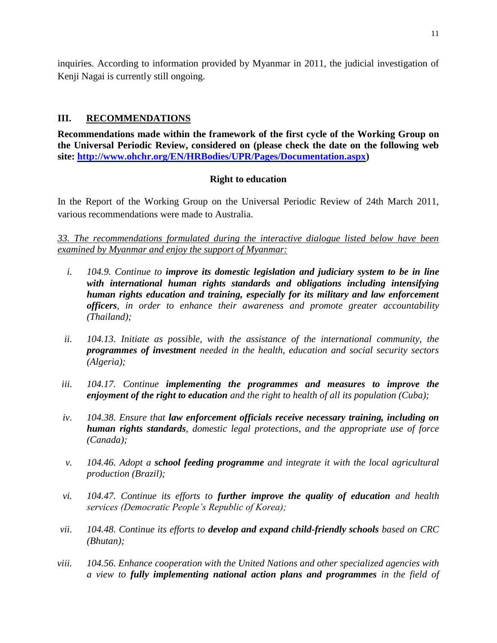inquiries. According to information provided by Myanmar in 2011, the judicial investigation of Kenji Nagai is currently still ongoing.

# **III. RECOMMENDATIONS**

**Recommendations made within the framework of the first cycle of the Working Group on the Universal Periodic Review, considered on (please check the date on the following web site: [http://www.ohchr.org/EN/HRBodies/UPR/Pages/Documentation.aspx\)](http://www.ohchr.org/EN/HRBodies/UPR/Pages/Documentation.aspx)** 

## **Right to education**

In the Report of the Working Group on the Universal Periodic Review of 24th March 2011, various recommendations were made to Australia.

*33. The recommendations formulated during the interactive dialogue listed below have been examined by Myanmar and enjoy the support of Myanmar:*

- *i. 104.9. Continue to improve its domestic legislation and judiciary system to be in line with international human rights standards and obligations including intensifying human rights education and training, especially for its military and law enforcement officers, in order to enhance their awareness and promote greater accountability (Thailand);*
- *ii. 104.13. Initiate as possible, with the assistance of the international community, the programmes of investment needed in the health, education and social security sectors (Algeria);*
- *iii. 104.17. Continue implementing the programmes and measures to improve the enjoyment of the right to education and the right to health of all its population (Cuba);*
- *iv. 104.38. Ensure that law enforcement officials receive necessary training, including on human rights standards, domestic legal protections, and the appropriate use of force (Canada);*
- *v. 104.46. Adopt a school feeding programme and integrate it with the local agricultural production (Brazil);*
- *vi. 104.47. Continue its efforts to further improve the quality of education and health services (Democratic People's Republic of Korea);*
- *vii. 104.48. Continue its efforts to develop and expand child-friendly schools based on CRC (Bhutan);*
- *viii. 104.56. Enhance cooperation with the United Nations and other specialized agencies with a view to fully implementing national action plans and programmes in the field of*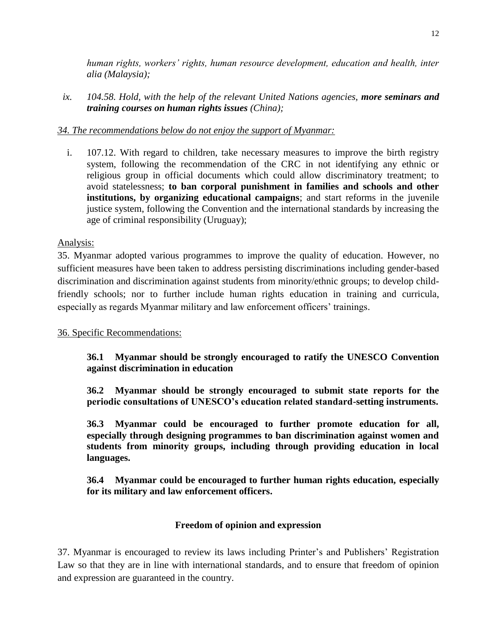*human rights, workers' rights, human resource development, education and health, inter alia (Malaysia);*

*ix. 104.58. Hold, with the help of the relevant United Nations agencies, more seminars and training courses on human rights issues (China);*

## *34. The recommendations below do not enjoy the support of Myanmar:*

i. 107.12. With regard to children, take necessary measures to improve the birth registry system, following the recommendation of the CRC in not identifying any ethnic or religious group in official documents which could allow discriminatory treatment; to avoid statelessness; **to ban corporal punishment in families and schools and other institutions, by organizing educational campaigns**; and start reforms in the juvenile justice system, following the Convention and the international standards by increasing the age of criminal responsibility (Uruguay);

## Analysis:

35. Myanmar adopted various programmes to improve the quality of education. However, no sufficient measures have been taken to address persisting discriminations including gender-based discrimination and discrimination against students from minority/ethnic groups; to develop childfriendly schools; nor to further include human rights education in training and curricula, especially as regards Myanmar military and law enforcement officers' trainings.

## 36. Specific Recommendations:

**36.1 Myanmar should be strongly encouraged to ratify the UNESCO Convention against discrimination in education**

**36.2 Myanmar should be strongly encouraged to submit state reports for the periodic consultations of UNESCO's education related standard-setting instruments.**

**36.3 Myanmar could be encouraged to further promote education for all, especially through designing programmes to ban discrimination against women and students from minority groups, including through providing education in local languages.**

**36.4 Myanmar could be encouraged to further human rights education, especially for its military and law enforcement officers.**

## **Freedom of opinion and expression**

37. Myanmar is encouraged to review its laws including Printer's and Publishers' Registration Law so that they are in line with international standards, and to ensure that freedom of opinion and expression are guaranteed in the country.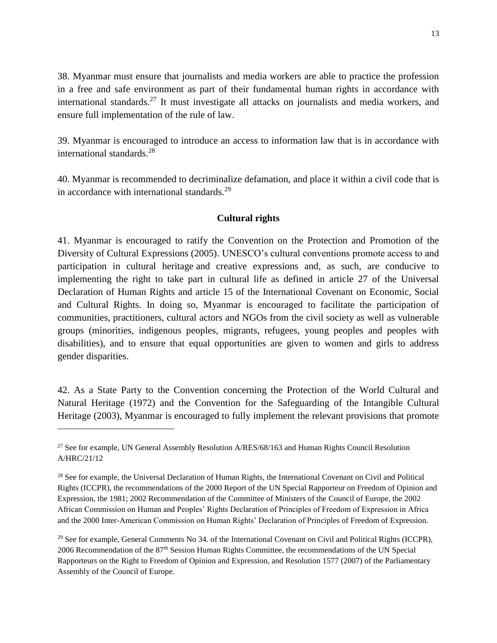38. Myanmar must ensure that journalists and media workers are able to practice the profession in a free and safe environment as part of their fundamental human rights in accordance with international standards.<sup>27</sup> It must investigate all attacks on journalists and media workers, and ensure full implementation of the rule of law.

39. Myanmar is encouraged to introduce an access to information law that is in accordance with international standards.<sup>28</sup>

40. Myanmar is recommended to decriminalize defamation, and place it within a civil code that is in accordance with international standards.<sup>29</sup>

## **Cultural rights**

41. Myanmar is encouraged to ratify the Convention on the Protection and Promotion of the Diversity of Cultural Expressions (2005). UNESCO's cultural conventions promote access to and participation in cultural heritage and creative expressions and, as such, are conducive to implementing the right to take part in cultural life as defined in article 27 of the Universal Declaration of Human Rights and article 15 of the International Covenant on Economic, Social and Cultural Rights. In doing so, Myanmar is encouraged to facilitate the participation of communities, practitioners, cultural actors and NGOs from the civil society as well as vulnerable groups (minorities, indigenous peoples, migrants, refugees, young peoples and peoples with disabilities), and to ensure that equal opportunities are given to women and girls to address gender disparities.

42. As a State Party to the Convention concerning the Protection of the World Cultural and Natural Heritage (1972) and the Convention for the Safeguarding of the Intangible Cultural Heritage (2003), Myanmar is encouraged to fully implement the relevant provisions that promote

 $\overline{\phantom{a}}$ 

<sup>&</sup>lt;sup>27</sup> See for example, UN General Assembly Resolution  $A/RES/68/163$  and Human Rights Council Resolution A/HRC/21/12

<sup>&</sup>lt;sup>28</sup> See for example, the Universal Declaration of Human Rights, the International Covenant on Civil and Political Rights (ICCPR), the recommendations of the 2000 Report of the UN Special Rapporteur on Freedom of Opinion and Expression, the 1981; 2002 Recommendation of the Committee of Ministers of the Council of Europe, the 2002 African Commission on Human and Peoples' Rights Declaration of Principles of Freedom of Expression in Africa and the 2000 Inter-American Commission on Human Rights' Declaration of Principles of Freedom of Expression.

 $^{29}$  See for example, General Comments No 34. of the International Covenant on Civil and Political Rights (ICCPR), 2006 Recommendation of the 87th Session Human Rights Committee, the recommendations of the UN Special Rapporteurs on the Right to Freedom of Opinion and Expression, and Resolution 1577 (2007) of the Parliamentary Assembly of the Council of Europe.